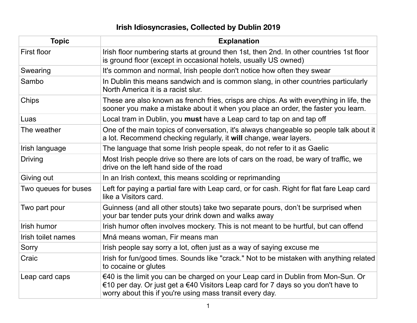## **Irish Idiosyncrasies, Collected by Dublin 2019**

| <b>Topic</b>         | <b>Explanation</b>                                                                                                                                                                                                                |
|----------------------|-----------------------------------------------------------------------------------------------------------------------------------------------------------------------------------------------------------------------------------|
| First floor          | Irish floor numbering starts at ground then 1st, then 2nd. In other countries 1st floor<br>is ground floor (except in occasional hotels, usually US owned)                                                                        |
| Swearing             | It's common and normal, Irish people don't notice how often they swear                                                                                                                                                            |
| Sambo                | In Dublin this means sandwich and is common slang, in other countries particularly<br>North America it is a racist slur.                                                                                                          |
| <b>Chips</b>         | These are also known as french fries, crisps are chips. As with everything in life, the<br>sooner you make a mistake about it when you place an order, the faster you learn.                                                      |
| Luas                 | Local tram in Dublin, you must have a Leap card to tap on and tap off                                                                                                                                                             |
| The weather          | One of the main topics of conversation, it's always changeable so people talk about it<br>a lot. Recommend checking regularly, it will change, wear layers.                                                                       |
| Irish language       | The language that some Irish people speak, do not refer to it as Gaelic                                                                                                                                                           |
| <b>Driving</b>       | Most Irish people drive so there are lots of cars on the road, be wary of traffic, we<br>drive on the left hand side of the road                                                                                                  |
| Giving out           | In an Irish context, this means scolding or reprimanding                                                                                                                                                                          |
| Two queues for buses | Left for paying a partial fare with Leap card, or for cash. Right for flat fare Leap card<br>like a Visitors card.                                                                                                                |
| Two part pour        | Guinness (and all other stouts) take two separate pours, don't be surprised when<br>your bar tender puts your drink down and walks away                                                                                           |
| Irish humor          | Irish humor often involves mockery. This is not meant to be hurtful, but can offend                                                                                                                                               |
| Irish toilet names   | Mná means woman, Fir means man                                                                                                                                                                                                    |
| Sorry                | Irish people say sorry a lot, often just as a way of saying excuse me                                                                                                                                                             |
| Craic                | Irish for fun/good times. Sounds like "crack." Not to be mistaken with anything related<br>to cocaine or glutes                                                                                                                   |
| Leap card caps       | €40 is the limit you can be charged on your Leap card in Dublin from Mon-Sun. Or<br>€10 per day. Or just get a €40 Visitors Leap card for 7 days so you don't have to<br>worry about this if you're using mass transit every day. |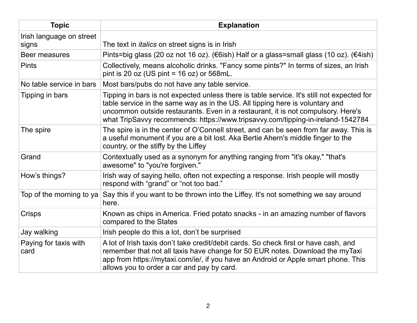| <b>Topic</b>                      | <b>Explanation</b>                                                                                                                                                                                                                                                                                                                                 |
|-----------------------------------|----------------------------------------------------------------------------------------------------------------------------------------------------------------------------------------------------------------------------------------------------------------------------------------------------------------------------------------------------|
| Irish language on street<br>signs | The text in <i>italics</i> on street signs is in Irish                                                                                                                                                                                                                                                                                             |
| Beer measures                     | Pints=big glass (20 oz not 16 oz). (€6ish) Half or a glass=small glass (10 oz). (€4ish)                                                                                                                                                                                                                                                            |
| <b>Pints</b>                      | Collectively, means alcoholic drinks. "Fancy some pints?" In terms of sizes, an Irish<br>pint is 20 oz (US pint = $16$ oz) or $568$ mL.                                                                                                                                                                                                            |
| No table service in bars          | Most bars/pubs do not have any table service.                                                                                                                                                                                                                                                                                                      |
| Tipping in bars                   | Tipping in bars is not expected unless there is table service. It's still not expected for<br>table service in the same way as in the US. All tipping here is voluntary and<br>uncommon outside restaurants. Even in a restaurant, it is not compulsory. Here's<br>what TripSavvy recommends: https://www.tripsavvy.com/tipping-in-ireland-1542784 |
| The spire                         | The spire is in the center of O'Connell street, and can be seen from far away. This is<br>a useful monument if you are a bit lost. Aka Bertie Ahern's middle finger to the<br>country, or the stiffy by the Liffey                                                                                                                                 |
| Grand                             | Contextually used as a synonym for anything ranging from "it's okay," "that's<br>awesome" to "you're forgiven."                                                                                                                                                                                                                                    |
| How's things?                     | Irish way of saying hello, often not expecting a response. Irish people will mostly<br>respond with "grand" or "not too bad."                                                                                                                                                                                                                      |
| Top of the morning to ya          | Say this if you want to be thrown into the Liffey. It's not something we say around<br>here.                                                                                                                                                                                                                                                       |
| <b>Crisps</b>                     | Known as chips in America. Fried potato snacks - in an amazing number of flavors<br>compared to the States                                                                                                                                                                                                                                         |
| Jay walking                       | Irish people do this a lot, don't be surprised                                                                                                                                                                                                                                                                                                     |
| Paying for taxis with<br>card     | A lot of Irish taxis don't take credit/debit cards. So check first or have cash, and<br>remember that not all taxis have change for 50 EUR notes. Download the myTaxi<br>app from https://mytaxi.com/ie/, if you have an Android or Apple smart phone. This<br>allows you to order a car and pay by card.                                          |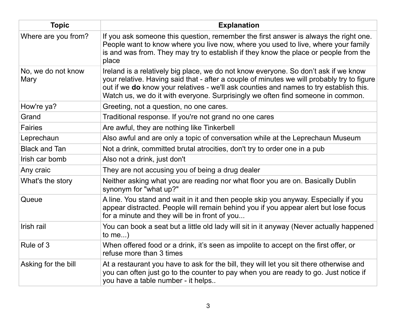| <b>Topic</b>               | <b>Explanation</b>                                                                                                                                                                                                                                                                                                                                             |
|----------------------------|----------------------------------------------------------------------------------------------------------------------------------------------------------------------------------------------------------------------------------------------------------------------------------------------------------------------------------------------------------------|
| Where are you from?        | If you ask someone this question, remember the first answer is always the right one.<br>People want to know where you live now, where you used to live, where your family<br>is and was from. They may try to establish if they know the place or people from the<br>place                                                                                     |
| No, we do not know<br>Mary | Ireland is a relatively big place, we do not know everyone. So don't ask if we know<br>your relative. Having said that - after a couple of minutes we will probably try to figure<br>out if we do know your relatives - we'll ask counties and names to try establish this.<br>Watch us, we do it with everyone. Surprisingly we often find someone in common. |
| How're ya?                 | Greeting, not a question, no one cares.                                                                                                                                                                                                                                                                                                                        |
| Grand                      | Traditional response. If you're not grand no one cares                                                                                                                                                                                                                                                                                                         |
| <b>Fairies</b>             | Are awful, they are nothing like Tinkerbell                                                                                                                                                                                                                                                                                                                    |
| Leprechaun                 | Also awful and are only a topic of conversation while at the Leprechaun Museum                                                                                                                                                                                                                                                                                 |
| <b>Black and Tan</b>       | Not a drink, committed brutal atrocities, don't try to order one in a pub                                                                                                                                                                                                                                                                                      |
| Irish car bomb             | Also not a drink, just don't                                                                                                                                                                                                                                                                                                                                   |
| Any craic                  | They are not accusing you of being a drug dealer                                                                                                                                                                                                                                                                                                               |
| What's the story           | Neither asking what you are reading nor what floor you are on. Basically Dublin<br>synonym for "what up?"                                                                                                                                                                                                                                                      |
| Queue                      | A line. You stand and wait in it and then people skip you anyway. Especially if you<br>appear distracted. People will remain behind you if you appear alert but lose focus<br>for a minute and they will be in front of you                                                                                                                                    |
| Irish rail                 | You can book a seat but a little old lady will sit in it anyway (Never actually happened<br>to me $)$                                                                                                                                                                                                                                                          |
| Rule of 3                  | When offered food or a drink, it's seen as impolite to accept on the first offer, or<br>refuse more than 3 times                                                                                                                                                                                                                                               |
| Asking for the bill        | At a restaurant you have to ask for the bill, they will let you sit there otherwise and<br>you can often just go to the counter to pay when you are ready to go. Just notice if<br>you have a table number - it helps                                                                                                                                          |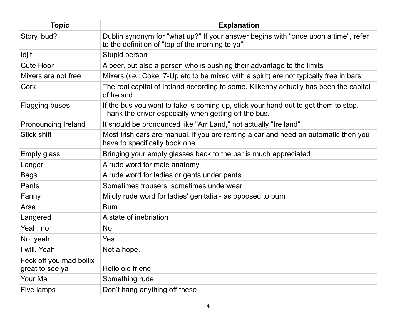| <b>Topic</b>                               | <b>Explanation</b>                                                                                                                          |
|--------------------------------------------|---------------------------------------------------------------------------------------------------------------------------------------------|
| Story, bud?                                | Dublin synonym for "what up?" If your answer begins with "once upon a time", refer<br>to the definition of "top of the morning to ya"       |
| Idjit                                      | Stupid person                                                                                                                               |
| <b>Cute Hoor</b>                           | A beer, but also a person who is pushing their advantage to the limits                                                                      |
| Mixers are not free                        | Mixers ( <i>i.e.</i> : Coke, 7-Up etc to be mixed with a spirit) are not typically free in bars                                             |
| Cork                                       | The real capital of Ireland according to some. Kilkenny actually has been the capital<br>of Ireland.                                        |
| <b>Flagging buses</b>                      | If the bus you want to take is coming up, stick your hand out to get them to stop.<br>Thank the driver especially when getting off the bus. |
| Pronouncing Ireland                        | It should be pronounced like "Arr Land," not actually "Ire land"                                                                            |
| <b>Stick shift</b>                         | Most Irish cars are manual, if you are renting a car and need an automatic then you<br>have to specifically book one                        |
| <b>Empty glass</b>                         | Bringing your empty glasses back to the bar is much appreciated                                                                             |
| Langer                                     | A rude word for male anatomy                                                                                                                |
| <b>Bags</b>                                | A rude word for ladies or gents under pants                                                                                                 |
| Pants                                      | Sometimes trousers, sometimes underwear                                                                                                     |
| Fanny                                      | Mildly rude word for ladies' genitalia - as opposed to bum                                                                                  |
| Arse                                       | <b>Bum</b>                                                                                                                                  |
| Langered                                   | A state of inebriation                                                                                                                      |
| Yeah, no                                   | <b>No</b>                                                                                                                                   |
| No, yeah                                   | Yes                                                                                                                                         |
| I will, Yeah                               | Not a hope.                                                                                                                                 |
| Feck off you mad bollix<br>great to see ya | Hello old friend                                                                                                                            |
| Your Ma                                    | Something rude                                                                                                                              |
| Five lamps                                 | Don't hang anything off these                                                                                                               |